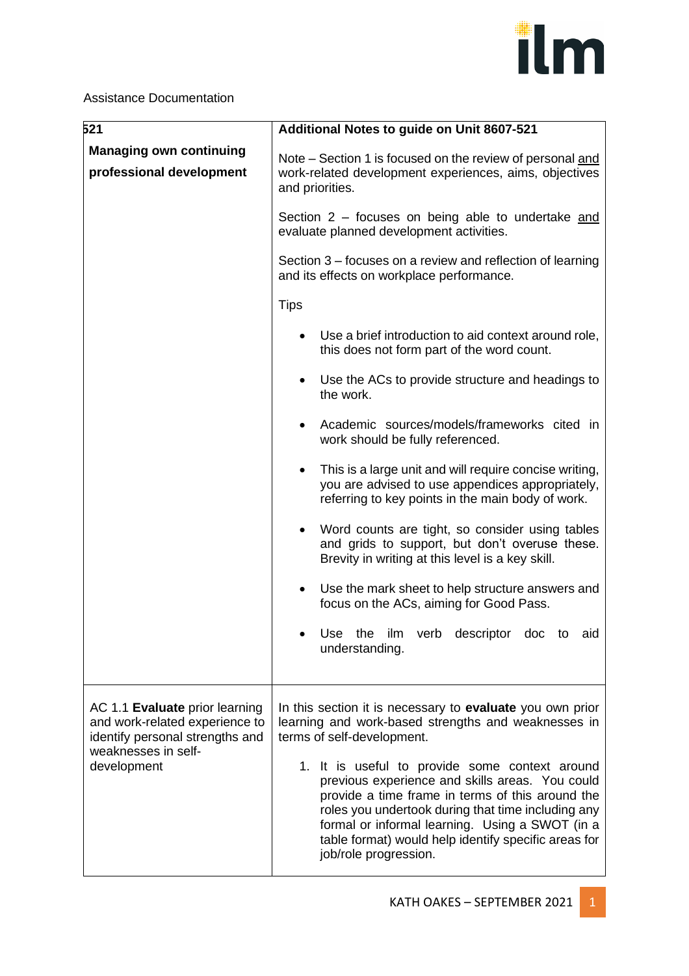

## Assistance Documentation

| 521                                                                                                                                       | Additional Notes to guide on Unit 8607-521                                                                                                                                                                                                                                                                                                      |
|-------------------------------------------------------------------------------------------------------------------------------------------|-------------------------------------------------------------------------------------------------------------------------------------------------------------------------------------------------------------------------------------------------------------------------------------------------------------------------------------------------|
| <b>Managing own continuing</b><br>professional development                                                                                | Note – Section 1 is focused on the review of personal and<br>work-related development experiences, aims, objectives<br>and priorities.                                                                                                                                                                                                          |
|                                                                                                                                           | Section 2 – focuses on being able to undertake and<br>evaluate planned development activities.                                                                                                                                                                                                                                                  |
|                                                                                                                                           | Section 3 – focuses on a review and reflection of learning<br>and its effects on workplace performance.                                                                                                                                                                                                                                         |
|                                                                                                                                           | <b>Tips</b>                                                                                                                                                                                                                                                                                                                                     |
|                                                                                                                                           | Use a brief introduction to aid context around role,<br>$\bullet$<br>this does not form part of the word count.                                                                                                                                                                                                                                 |
|                                                                                                                                           | Use the ACs to provide structure and headings to<br>the work.                                                                                                                                                                                                                                                                                   |
|                                                                                                                                           | Academic sources/models/frameworks cited in<br>work should be fully referenced.                                                                                                                                                                                                                                                                 |
|                                                                                                                                           | This is a large unit and will require concise writing,<br>$\bullet$<br>you are advised to use appendices appropriately,<br>referring to key points in the main body of work.                                                                                                                                                                    |
|                                                                                                                                           | Word counts are tight, so consider using tables<br>and grids to support, but don't overuse these.<br>Brevity in writing at this level is a key skill.                                                                                                                                                                                           |
|                                                                                                                                           | Use the mark sheet to help structure answers and<br>focus on the ACs, aiming for Good Pass.                                                                                                                                                                                                                                                     |
|                                                                                                                                           | Use the ilm verb descriptor doc to aid<br>understanding.                                                                                                                                                                                                                                                                                        |
| AC 1.1 Evaluate prior learning<br>and work-related experience to<br>identify personal strengths and<br>weaknesses in self-<br>development | In this section it is necessary to evaluate you own prior<br>learning and work-based strengths and weaknesses in<br>terms of self-development.                                                                                                                                                                                                  |
|                                                                                                                                           | 1. It is useful to provide some context around<br>previous experience and skills areas. You could<br>provide a time frame in terms of this around the<br>roles you undertook during that time including any<br>formal or informal learning. Using a SWOT (in a<br>table format) would help identify specific areas for<br>job/role progression. |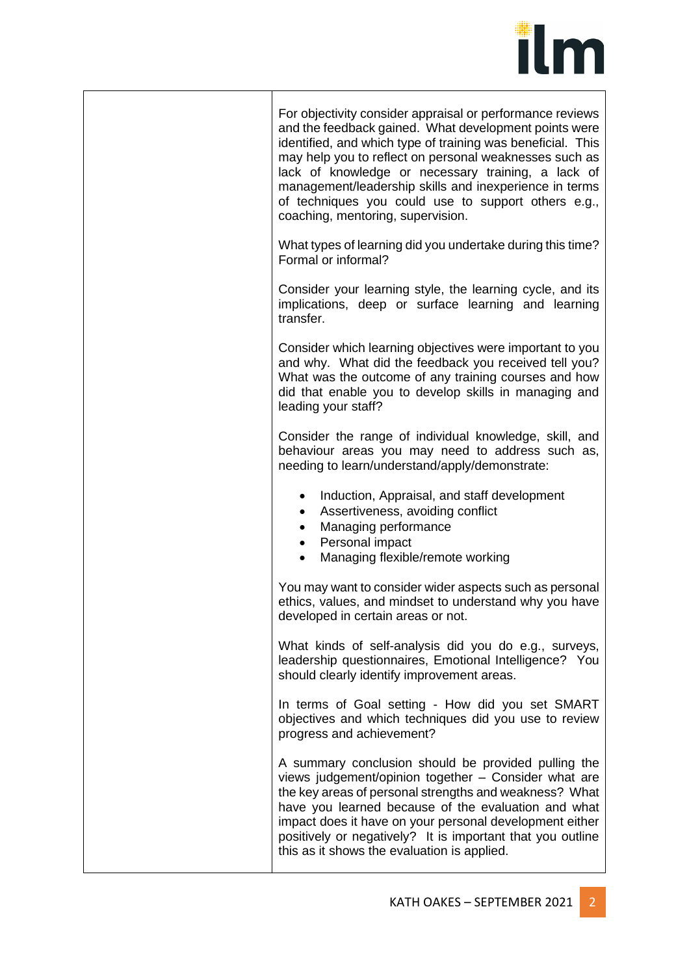

For objectivity consider appraisal or performance reviews and the feedback gained. What development points were identified, and which type of training was beneficial. This may help you to reflect on personal weaknesses such as lack of knowledge or necessary training, a lack of management/leadership skills and inexperience in terms of techniques you could use to support others e.g., coaching, mentoring, supervision.

What types of learning did you undertake during this time? Formal or informal?

Consider your learning style, the learning cycle, and its implications, deep or surface learning and learning transfer.

Consider which learning objectives were important to you and why. What did the feedback you received tell you? What was the outcome of any training courses and how did that enable you to develop skills in managing and leading your staff?

Consider the range of individual knowledge, skill, and behaviour areas you may need to address such as, needing to learn/understand/apply/demonstrate:

- Induction, Appraisal, and staff development
- Assertiveness, avoiding conflict
- Managing performance
- Personal impact
- Managing flexible/remote working

You may want to consider wider aspects such as personal ethics, values, and mindset to understand why you have developed in certain areas or not.

What kinds of self-analysis did you do e.g., surveys, leadership questionnaires, Emotional Intelligence? You should clearly identify improvement areas.

In terms of Goal setting - How did you set SMART objectives and which techniques did you use to review progress and achievement?

A summary conclusion should be provided pulling the views judgement/opinion together – Consider what are the key areas of personal strengths and weakness? What have you learned because of the evaluation and what impact does it have on your personal development either positively or negatively? It is important that you outline this as it shows the evaluation is applied.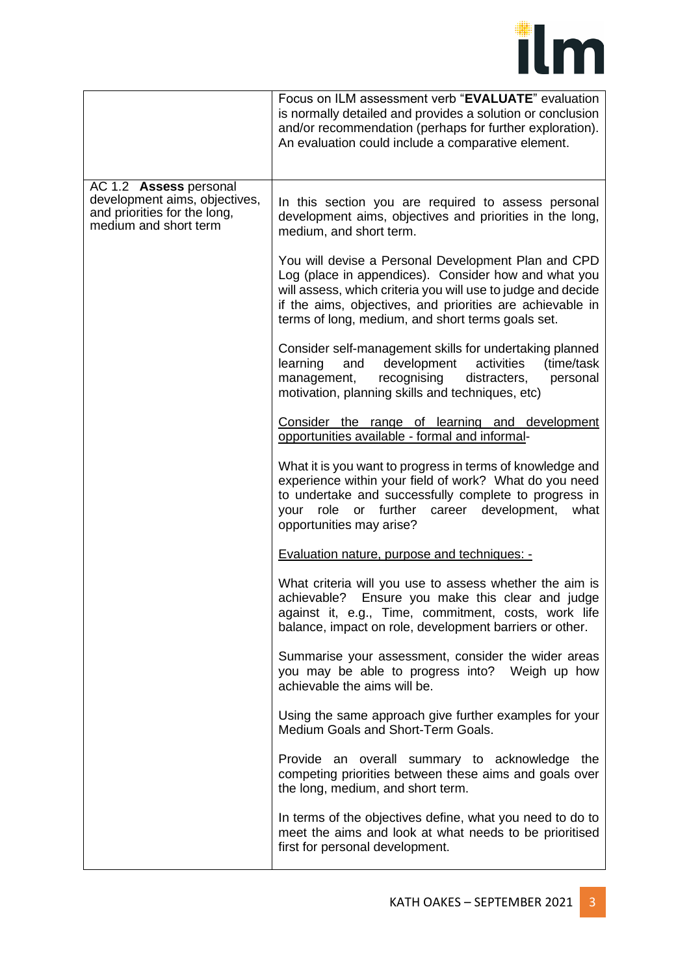

|                                                                                                                  | Focus on ILM assessment verb "EVALUATE" evaluation<br>is normally detailed and provides a solution or conclusion<br>and/or recommendation (perhaps for further exploration).<br>An evaluation could include a comparative element.                                                            |
|------------------------------------------------------------------------------------------------------------------|-----------------------------------------------------------------------------------------------------------------------------------------------------------------------------------------------------------------------------------------------------------------------------------------------|
| AC 1.2 Assess personal<br>development aims, objectives,<br>and priorities for the long,<br>medium and short term | In this section you are required to assess personal<br>development aims, objectives and priorities in the long,<br>medium, and short term.                                                                                                                                                    |
|                                                                                                                  | You will devise a Personal Development Plan and CPD<br>Log (place in appendices). Consider how and what you<br>will assess, which criteria you will use to judge and decide<br>if the aims, objectives, and priorities are achievable in<br>terms of long, medium, and short terms goals set. |
|                                                                                                                  | Consider self-management skills for undertaking planned<br>development<br>learning<br>and<br>activities<br>(time/task<br>recognising<br>distracters,<br>management,<br>personal<br>motivation, planning skills and techniques, etc)                                                           |
|                                                                                                                  | Consider the range of learning and development<br>opportunities available - formal and informal-                                                                                                                                                                                              |
|                                                                                                                  | What it is you want to progress in terms of knowledge and<br>experience within your field of work? What do you need<br>to undertake and successfully complete to progress in<br>your role or further career development,<br>what<br>opportunities may arise?                                  |
|                                                                                                                  | <b>Evaluation nature, purpose and techniques: -</b>                                                                                                                                                                                                                                           |
|                                                                                                                  | What criteria will you use to assess whether the aim is<br>Ensure you make this clear and judge<br>achievable?<br>against it, e.g., Time, commitment, costs, work life<br>balance, impact on role, development barriers or other.                                                             |
|                                                                                                                  | Summarise your assessment, consider the wider areas<br>you may be able to progress into? Weigh up how<br>achievable the aims will be.                                                                                                                                                         |
|                                                                                                                  | Using the same approach give further examples for your<br>Medium Goals and Short-Term Goals.                                                                                                                                                                                                  |
|                                                                                                                  | Provide an overall summary to acknowledge the<br>competing priorities between these aims and goals over<br>the long, medium, and short term.                                                                                                                                                  |
|                                                                                                                  | In terms of the objectives define, what you need to do to<br>meet the aims and look at what needs to be prioritised<br>first for personal development.                                                                                                                                        |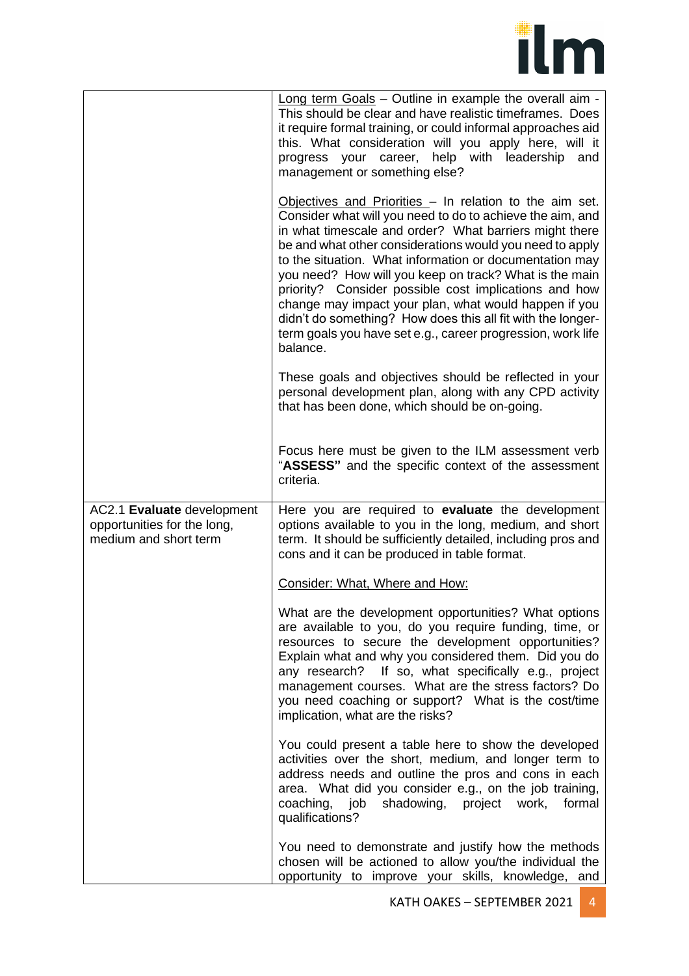

|                                                                                    | Long term Goals - Outline in example the overall aim -<br>This should be clear and have realistic timeframes. Does<br>it require formal training, or could informal approaches aid<br>this. What consideration will you apply here, will it<br>progress your career, help with leadership<br>and<br>management or something else?                                                                                                                                                                                                                                                                                           |
|------------------------------------------------------------------------------------|-----------------------------------------------------------------------------------------------------------------------------------------------------------------------------------------------------------------------------------------------------------------------------------------------------------------------------------------------------------------------------------------------------------------------------------------------------------------------------------------------------------------------------------------------------------------------------------------------------------------------------|
|                                                                                    | Objectives and Priorities - In relation to the aim set.<br>Consider what will you need to do to achieve the aim, and<br>in what timescale and order? What barriers might there<br>be and what other considerations would you need to apply<br>to the situation. What information or documentation may<br>you need? How will you keep on track? What is the main<br>priority? Consider possible cost implications and how<br>change may impact your plan, what would happen if you<br>didn't do something? How does this all fit with the longer-<br>term goals you have set e.g., career progression, work life<br>balance. |
|                                                                                    | These goals and objectives should be reflected in your<br>personal development plan, along with any CPD activity<br>that has been done, which should be on-going.                                                                                                                                                                                                                                                                                                                                                                                                                                                           |
|                                                                                    | Focus here must be given to the ILM assessment verb<br>"ASSESS" and the specific context of the assessment<br>criteria.                                                                                                                                                                                                                                                                                                                                                                                                                                                                                                     |
| AC2.1 Evaluate development<br>opportunities for the long,<br>medium and short term | Here you are required to evaluate the development<br>options available to you in the long, medium, and short<br>term. It should be sufficiently detailed, including pros and<br>cons and it can be produced in table format.                                                                                                                                                                                                                                                                                                                                                                                                |
|                                                                                    | Consider: What, Where and How:                                                                                                                                                                                                                                                                                                                                                                                                                                                                                                                                                                                              |
|                                                                                    | What are the development opportunities? What options<br>are available to you, do you require funding, time, or<br>resources to secure the development opportunities?<br>Explain what and why you considered them. Did you do<br>any research? If so, what specifically e.g., project<br>management courses. What are the stress factors? Do<br>you need coaching or support? What is the cost/time<br>implication, what are the risks?                                                                                                                                                                                      |
|                                                                                    | You could present a table here to show the developed<br>activities over the short, medium, and longer term to<br>address needs and outline the pros and cons in each<br>area. What did you consider e.g., on the job training,<br>shadowing, project work,<br>coaching, job<br>formal<br>qualifications?                                                                                                                                                                                                                                                                                                                    |
|                                                                                    | You need to demonstrate and justify how the methods<br>chosen will be actioned to allow you/the individual the<br>opportunity to improve your skills, knowledge, and                                                                                                                                                                                                                                                                                                                                                                                                                                                        |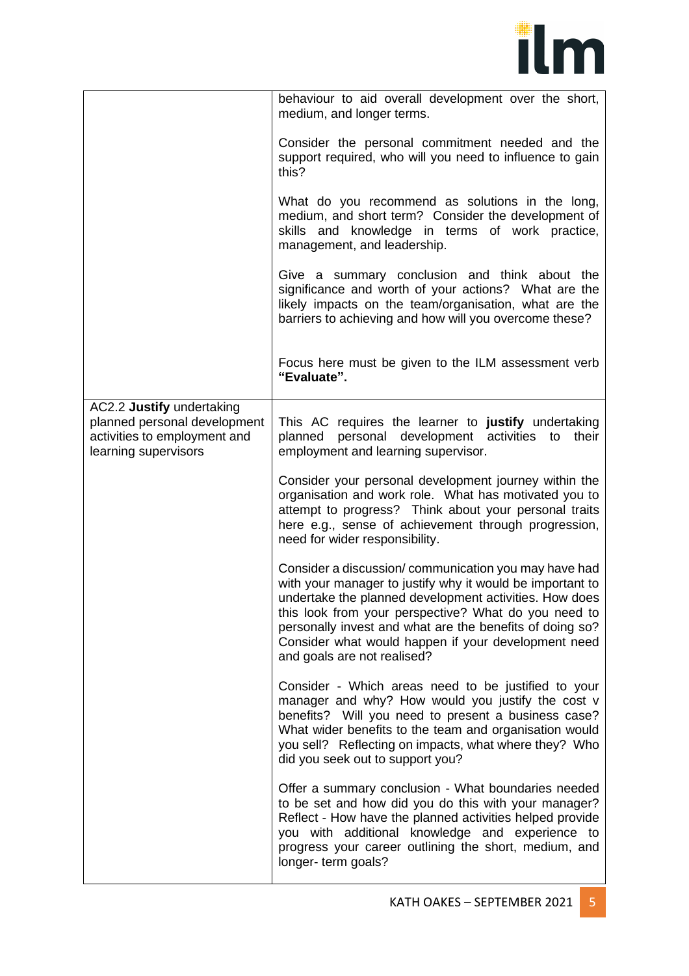

|                                                                                                                   | behaviour to aid overall development over the short,<br>medium, and longer terms.                                                                                                                                                                                                                                                                                                     |
|-------------------------------------------------------------------------------------------------------------------|---------------------------------------------------------------------------------------------------------------------------------------------------------------------------------------------------------------------------------------------------------------------------------------------------------------------------------------------------------------------------------------|
|                                                                                                                   | Consider the personal commitment needed and the<br>support required, who will you need to influence to gain<br>this?                                                                                                                                                                                                                                                                  |
|                                                                                                                   | What do you recommend as solutions in the long,<br>medium, and short term? Consider the development of<br>skills and knowledge in terms of work practice,<br>management, and leadership.                                                                                                                                                                                              |
|                                                                                                                   | Give a summary conclusion and think about the<br>significance and worth of your actions? What are the<br>likely impacts on the team/organisation, what are the<br>barriers to achieving and how will you overcome these?                                                                                                                                                              |
|                                                                                                                   | Focus here must be given to the ILM assessment verb<br>"Evaluate".                                                                                                                                                                                                                                                                                                                    |
| AC2.2 Justify undertaking<br>planned personal development<br>activities to employment and<br>learning supervisors | This AC requires the learner to justify undertaking<br>personal development activities<br>planned<br>their<br>to<br>employment and learning supervisor.                                                                                                                                                                                                                               |
|                                                                                                                   | Consider your personal development journey within the<br>organisation and work role. What has motivated you to<br>attempt to progress? Think about your personal traits<br>here e.g., sense of achievement through progression,<br>need for wider responsibility.                                                                                                                     |
|                                                                                                                   | Consider a discussion/communication you may have had<br>with your manager to justify why it would be important to<br>undertake the planned development activities. How does<br>this look from your perspective? What do you need to<br>personally invest and what are the benefits of doing so?<br>Consider what would happen if your development need<br>and goals are not realised? |
|                                                                                                                   | Consider - Which areas need to be justified to your<br>manager and why? How would you justify the cost v<br>benefits? Will you need to present a business case?<br>What wider benefits to the team and organisation would<br>you sell? Reflecting on impacts, what where they? Who<br>did you seek out to support you?                                                                |
|                                                                                                                   | Offer a summary conclusion - What boundaries needed<br>to be set and how did you do this with your manager?<br>Reflect - How have the planned activities helped provide<br>you with additional knowledge and experience to<br>progress your career outlining the short, medium, and<br>longer-term goals?                                                                             |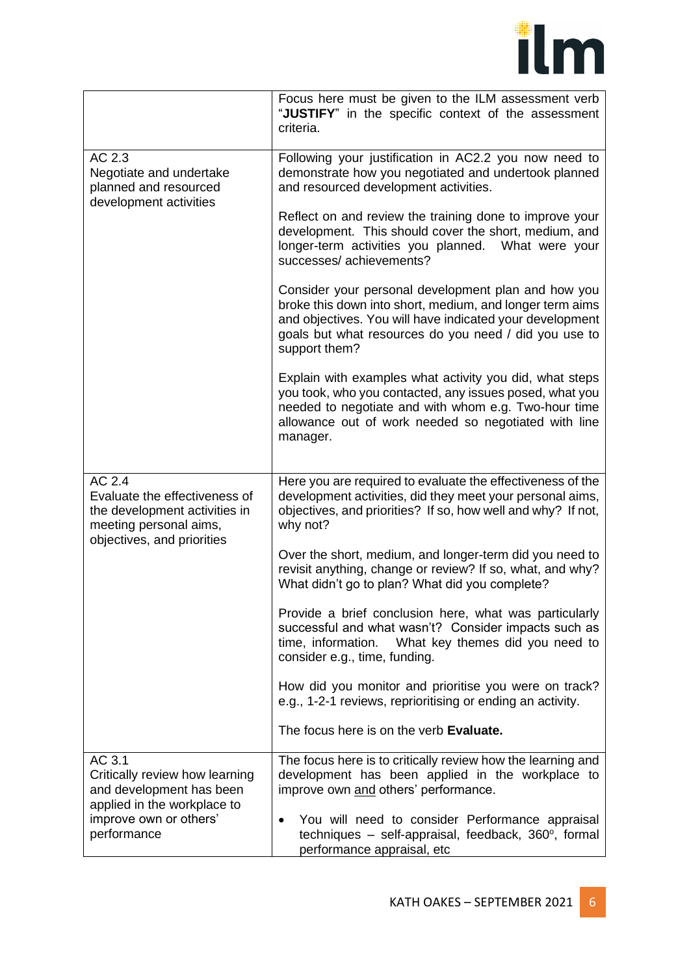

|                                                                                                                                  | Focus here must be given to the ILM assessment verb<br>"JUSTIFY" in the specific context of the assessment<br>criteria.                                                                                                                               |
|----------------------------------------------------------------------------------------------------------------------------------|-------------------------------------------------------------------------------------------------------------------------------------------------------------------------------------------------------------------------------------------------------|
| $\overline{AC}$ 2.3<br>Negotiate and undertake<br>planned and resourced<br>development activities                                | Following your justification in AC2.2 you now need to<br>demonstrate how you negotiated and undertook planned<br>and resourced development activities.                                                                                                |
|                                                                                                                                  | Reflect on and review the training done to improve your<br>development. This should cover the short, medium, and<br>longer-term activities you planned. What were your<br>successes/achievements?                                                     |
|                                                                                                                                  | Consider your personal development plan and how you<br>broke this down into short, medium, and longer term aims<br>and objectives. You will have indicated your development<br>goals but what resources do you need / did you use to<br>support them? |
|                                                                                                                                  | Explain with examples what activity you did, what steps<br>you took, who you contacted, any issues posed, what you<br>needed to negotiate and with whom e.g. Two-hour time<br>allowance out of work needed so negotiated with line<br>manager.        |
| AC 2.4<br>Evaluate the effectiveness of<br>the development activities in<br>meeting personal aims,<br>objectives, and priorities | Here you are required to evaluate the effectiveness of the<br>development activities, did they meet your personal aims,<br>objectives, and priorities? If so, how well and why? If not,<br>why not?                                                   |
|                                                                                                                                  | Over the short, medium, and longer-term did you need to<br>revisit anything, change or review? If so, what, and why?<br>What didn't go to plan? What did you complete?                                                                                |
|                                                                                                                                  | Provide a brief conclusion here, what was particularly<br>successful and what wasn't? Consider impacts such as<br>time, information.<br>What key themes did you need to<br>consider e.g., time, funding.                                              |
|                                                                                                                                  | How did you monitor and prioritise you were on track?<br>e.g., 1-2-1 reviews, reprioritising or ending an activity.                                                                                                                                   |
|                                                                                                                                  | The focus here is on the verb Evaluate.                                                                                                                                                                                                               |
| AC 3.1<br>Critically review how learning<br>and development has been<br>applied in the workplace to                              | The focus here is to critically review how the learning and<br>development has been applied in the workplace to<br>improve own and others' performance.                                                                                               |
| improve own or others'<br>performance                                                                                            | You will need to consider Performance appraisal<br>techniques – self-appraisal, feedback, 360°, formal<br>performance appraisal, etc                                                                                                                  |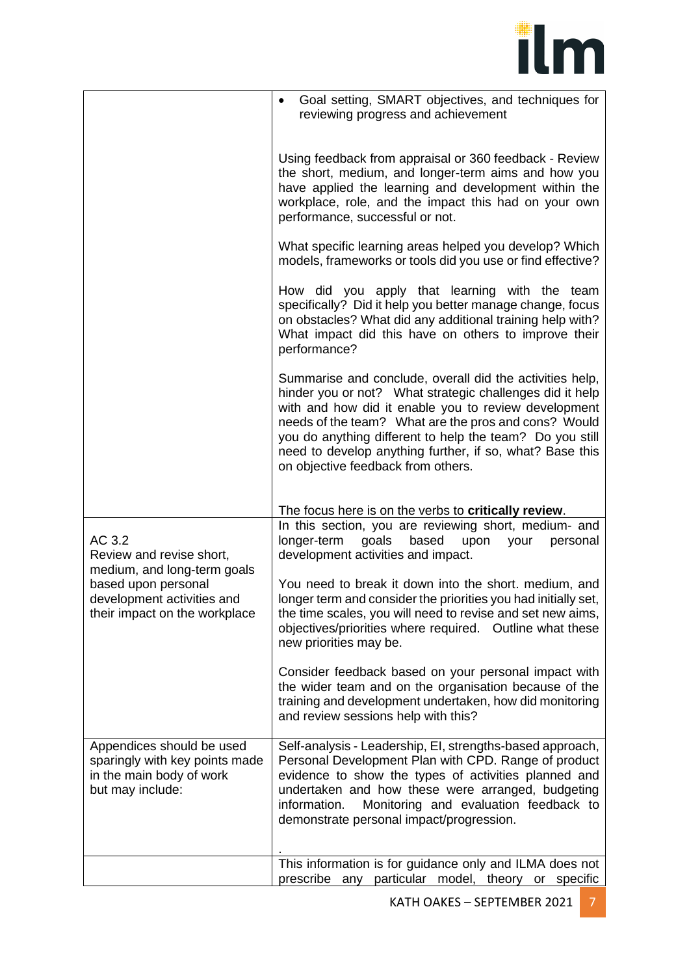

|                                                                                                                                                         | Goal setting, SMART objectives, and techniques for<br>$\bullet$<br>reviewing progress and achievement                                                                                                                                                                                                                                                                                              |
|---------------------------------------------------------------------------------------------------------------------------------------------------------|----------------------------------------------------------------------------------------------------------------------------------------------------------------------------------------------------------------------------------------------------------------------------------------------------------------------------------------------------------------------------------------------------|
|                                                                                                                                                         | Using feedback from appraisal or 360 feedback - Review<br>the short, medium, and longer-term aims and how you<br>have applied the learning and development within the<br>workplace, role, and the impact this had on your own<br>performance, successful or not.                                                                                                                                   |
|                                                                                                                                                         | What specific learning areas helped you develop? Which<br>models, frameworks or tools did you use or find effective?                                                                                                                                                                                                                                                                               |
|                                                                                                                                                         | How did you apply that learning with the team<br>specifically? Did it help you better manage change, focus<br>on obstacles? What did any additional training help with?<br>What impact did this have on others to improve their<br>performance?                                                                                                                                                    |
|                                                                                                                                                         | Summarise and conclude, overall did the activities help,<br>hinder you or not? What strategic challenges did it help<br>with and how did it enable you to review development<br>needs of the team? What are the pros and cons? Would<br>you do anything different to help the team? Do you still<br>need to develop anything further, if so, what? Base this<br>on objective feedback from others. |
|                                                                                                                                                         | The focus here is on the verbs to critically review.                                                                                                                                                                                                                                                                                                                                               |
| AC 3.2<br>Review and revise short,<br>medium, and long-term goals<br>based upon personal<br>development activities and<br>their impact on the workplace | In this section, you are reviewing short, medium- and<br>longer-term<br>goals<br>based<br>upon<br>your<br>personal<br>development activities and impact.                                                                                                                                                                                                                                           |
|                                                                                                                                                         | You need to break it down into the short. medium, and<br>longer term and consider the priorities you had initially set,<br>the time scales, you will need to revise and set new aims,<br>objectives/priorities where required. Outline what these<br>new priorities may be.                                                                                                                        |
|                                                                                                                                                         | Consider feedback based on your personal impact with<br>the wider team and on the organisation because of the<br>training and development undertaken, how did monitoring<br>and review sessions help with this?                                                                                                                                                                                    |
| Appendices should be used<br>sparingly with key points made<br>in the main body of work<br>but may include:                                             | Self-analysis - Leadership, EI, strengths-based approach,<br>Personal Development Plan with CPD. Range of product<br>evidence to show the types of activities planned and<br>undertaken and how these were arranged, budgeting<br>Monitoring and evaluation feedback to<br>information.<br>demonstrate personal impact/progression.                                                                |
|                                                                                                                                                         | This information is for guidance only and ILMA does not                                                                                                                                                                                                                                                                                                                                            |
|                                                                                                                                                         | prescribe any particular model, theory or specific                                                                                                                                                                                                                                                                                                                                                 |